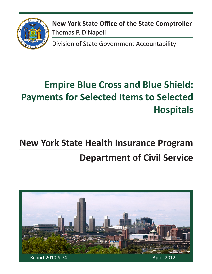

**New York State Office of the State Comptroller** Thomas P. DiNapoli

Division of State Government Accountability

# **Empire Blue Cross and Blue Shield: Payments for Selected Items to Selected Hospitals**

# **New York State Health Insurance Program Department of Civil Service**

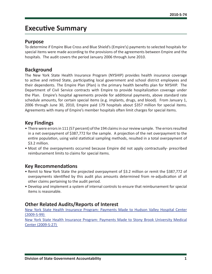### **Executive Summary**

#### **Purpose**

To determine if Empire Blue Cross and Blue Shield's (Empire's) payments to selected hospitals for special items were made according to the provisions of the agreements between Empire and the hospitals. The audit covers the period January 2006 through June 2010.

#### **Background**

The New York State Health Insurance Program (NYSHIP) provides health insurance coverage to active and retired State, participating local government and school district employees and their dependents. The Empire Plan (Plan) is the primary health benefits plan for NYSHIP. The Department of Civil Service contracts with Empire to provide hospitalization coverage under the Plan. Empire's hospital agreements provide for additional payments, above standard rate schedule amounts, for certain special items (e.g. implants, drugs, and blood). From January 1, 2006 through June 30, 2010, Empire paid 179 hospitals about \$357 million for special items. Agreements with many of Empire's member hospitals often limit charges for special items.

### **Key Findings**

- There were errors in 111 (57 percent) of the 194 claims in our review sample. The errors resulted in a net overpayment of \$387,772 for the sample. A projection of the net overpayment to the entire population, using valid statistical sampling methods, resulted in a total overpayment of \$3.2 million.
- Most of the overpayments occurred because Empire did not apply contractually- prescribed reimbursement limits to claims for special items.

### **Key Recommendations**

- Remit to New York State the projected overpayment of \$3.2 million or remit the \$387,772 of overpayments identified by this audit plus amounts determined from re-adjudication of all other claims pertaining to the audit period.
- Develop and implement a system of internal controls to ensure that reimbursement for special items is reasonable.

### **Other Related Audits/Reports of Interest**

[New York State Health Insurance Program: Payments Made to Hudson Valley Hospital Center](http://osc.state.ny.us/audits/allaudits/093011/09s99.htm)  [\(2009-S-99\)](http://osc.state.ny.us/audits/allaudits/093011/09s99.htm) 

[New York State Health Insurance Program: Payments Made to Stony Brook University Medical](http://osc.state.ny.us/audits/093011/09s27.htm
)  [Center \(2009-S-27\)](http://osc.state.ny.us/audits/093011/09s27.htm
)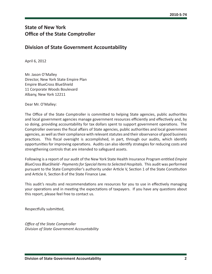### **State of New York Office of the State Comptroller**

### **Division of State Government Accountability**

April 6, 2012

Mr. Jason O'Malley Director, New York State Empire Plan Empire BlueCross BlueShield 11 Corporate Woods Boulevard Albany, New York 12211

Dear Mr. O'Malley:

The Office of the State Comptroller is committed to helping State agencies, public authorities and local government agencies manage government resources efficiently and effectively and, by so doing, providing accountability for tax dollars spent to support government operations. The Comptroller oversees the fiscal affairs of State agencies, public authorities and local government agencies, as well as their compliance with relevant statutes and their observance of good business practices. This fiscal oversight is accomplished, in part, through our audits, which identify opportunities for improving operations. Audits can also identify strategies for reducing costs and strengthening controls that are intended to safeguard assets.

Following is a report of our audit of the New York State Health Insurance Program entitled *Empire BlueCross BlueShield - Payments for Special Items to Selected Hospitals.* This audit was performed pursuant to the State Comptroller's authority under Article V, Section 1 of the State Constitution and Article II, Section 8 of the State Finance Law.

This audit's results and recommendations are resources for you to use in effectively managing your operations and in meeting the expectations of taxpayers. If you have any questions about this report, please feel free to contact us.

Respectfully submitted,

*Office of the State Comptroller Division of State Government Accountability*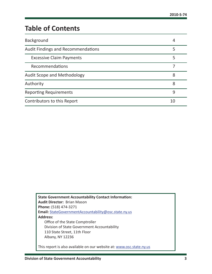# **Table of Contents**

| Background                                | 4  |
|-------------------------------------------|----|
| <b>Audit Findings and Recommendations</b> | 5  |
| <b>Excessive Claim Payments</b>           | 5  |
| Recommendations                           |    |
| <b>Audit Scope and Methodology</b>        | 8  |
| Authority                                 | 8  |
| <b>Reporting Requirements</b>             | q  |
| Contributors to this Report               | 10 |

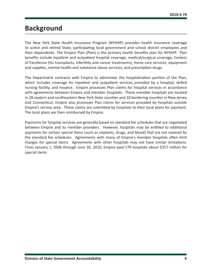### <span id="page-4-0"></span>**Background**

The New York State Health Insurance Program (NYSHIP) provides health insurance coverage to active and retired State, participating local government and school district employees and their dependents. The Empire Plan (Plan) is the primary health benefits plan for NYSHIP. Plan benefits include inpatient and outpatient hospital coverage, medical/surgical coverage, Centers of Excellence (for transplants, infertility and cancer treatments), home care services, equipment and supplies, mental health and substance abuse services, and prescription drugs.

The Department contracts with Empire to administer the hospitalization portion of the Plan, which includes coverage for inpatient and outpatient services provided by a hospital, skilled nursing facility, and hospice. Empire processes Plan claims for hospital services in accordance with agreements between Empire and member hospitals. These member hospitals are located in 28 eastern and southeastern New York State counties and 10 bordering counties in New Jersey and Connecticut. Empire also processes Plan claims for services provided by hospitals outside Empire's service area. These claims are submitted by hospitals to their local plans for payment. The local plans are then reimbursed by Empire.

Payments for hospital services are generally based on standard fee schedules that are negotiated between Empire and its member providers. However, hospitals may be entitled to additional payments for certain special items (such as implants, drugs, and blood) that are not covered by the standard fee schedules. Agreements with many of Empire's member hospitals often limit charges for special items. Agreements with other hospitals may not have similar limitations. From January 1, 2006 through June 30, 2010, Empire paid 179 hospitals about \$357 million for special items.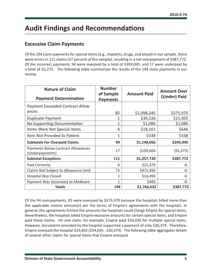# <span id="page-5-0"></span>**Audit Findings and Recommendations**

### **Excessive Claim Payments**

Of the 194 claim payments for special items (e.g., implants, drugs, and blood) in our sample, there were errors in 111 claims (57 percent of the sample), resulting in a net overpayment of \$387,772. Of the incorrect payments, 94 were overpaid by a total of \$393,045, and 17 were underpaid by a total of \$5,273. The following table summarizes the results of the 194 claim payments in our review.

| <b>Nature of Claim</b><br><b>Payment Determination</b> | <b>Number</b><br>of Sample<br><b>Payments</b> | <b>Amount Paid</b> | <b>Amount Over</b><br>(Under) Paid |
|--------------------------------------------------------|-----------------------------------------------|--------------------|------------------------------------|
| <b>Payment Exceeded Contract Allow-</b>                |                                               |                    |                                    |
| ances                                                  | 85                                            | \$1,098,245        | \$375,970                          |
| <b>Duplicate Payment</b>                               | 1                                             | \$30,226           | \$15,005                           |
| No Supporting Documentation                            | 1                                             | \$1,086            | \$1,086                            |
| Items Were Not Special Items                           | 6                                             | \$18,161           | \$646                              |
| Item Not Provided to Patient                           | $\mathbf{1}$                                  | \$338              | \$338                              |
| <b>Subtotals For Overpaid Claims</b>                   | 94                                            | \$1,148,056        | \$393,045                          |
| Payments Below Contract Allowances<br>(Underpayments)  | 17                                            | \$109,664          | (55, 273)                          |
| <b>Subtotal Exceptions</b>                             | 111                                           | \$1,257,720        | \$387,772                          |
| Paid Correctly                                         | 6                                             | \$21,479           | -0-                                |
| Claims Not Subject to Allowance Limit                  | 75                                            | \$472,456          | -0-                                |
| <b>Hospital Was Closed</b>                             | 1                                             | \$14,494           | -0-                                |
| Payment Was Secondary to Medicare                      | 1                                             | \$483              | $-0-$                              |
| <b>Totals</b>                                          | 194                                           | \$1,766,632        | \$387,772                          |

Of the 94 overpayments, 85 were overpaid by \$375,970 because the hospitals billed more than the applicable invoice amount(s) per the terms of Empire's agreements with the hospitals. In general, the agreements limited the amounts the hospitals could charge Empire for special items. Nevertheless, the hospitals billed Empire excessive amounts for certain special items, and Empire paid these claims. On one claim, for example, Empire paid \$54,036 for multiple special items. However, documents provided by the hospital supported a payment of only \$30,374. Therefore, Empire overpaid the hospital \$23,662 (\$54,036 - \$30,374). The following table aggregates details of several other claims for special items that Empire overpaid.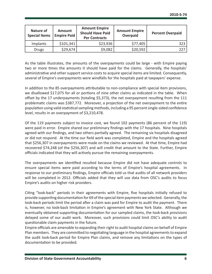| Nature of<br><b>Special Items</b> | <b>Amount</b><br><b>Empire Paid</b> | <b>Amount Empire</b><br><b>Should Have Paid</b><br><b>Per Contracts</b> | <b>Amount Empire</b><br>Overpaid | <b>Percent Overpaid</b> |
|-----------------------------------|-------------------------------------|-------------------------------------------------------------------------|----------------------------------|-------------------------|
| Implants                          | \$101,341                           | \$23,936                                                                | \$77,405                         | 323                     |
| Drugs                             | \$29,674                            | \$9,082                                                                 | \$20,592                         | 227                     |

As the table illustrates, the amounts of the overpayments could be large - with Empire paying two or more times the amounts it should have paid for the claims. Generally, the hospitals' administrative and other support service costs to acquire special items are limited. Consequently, several of Empire's overpayments were windfalls for the hospitals paid at taxpayers' expense.

In addition to the 85 overpayments attributable to non-compliance with special item provisions, we disallowed \$17,075 for all or portions of nine other claims as indicated in the table. When offset by the 17 underpayments (totaling \$5,373), the net overpayment resulting from the 111 problematic claims was \$387,772. Moreover, a projection of the net overpayment to the entire population using valid statistical sampling methods, including a 95 percent single-sided confidence level, results in an overpayment of \$3,210,478.

Of the 119 payments subject to invoice cost, we found 102 payments (86 percent of the 119) were paid in error. Empire shared our preliminary findings with the 17 hospitals. Nine hospitals agreed with our findings, and two others partially agreed. The remaining six hospitals disagreed or did not respond. At the time our field work was completed, Empire and the hospitals agreed that \$256,307 in overpayments were made on the claims we reviewed. At that time, Empire had recovered \$74,248 (of the \$256,307) and will credit that amount to the State. Further, Empire officials indicated that they will actively pursue the remaining overpayments.

The overpayments we identified resulted because Empire did not have adequate controls to ensure special items were paid according to the terms of Empire's hospital agreements. In response to our preliminary findings, Empire officials told us that audits of all network providers will be completed in 2012. Officials added that they will use data from OSC's audits to focus Empire's audits on higher risk providers.

Citing "look-back" periods in their agreements with Empire, five hospitals initially refused to provide supporting documentation for 69 of the special item payments we selected. Generally, the look-back periods limit the period after a claim was paid for Empire to audit the payment. There is, however, no look-back limitation in Empire's agreement with New York State. Although we eventually obtained supporting documentation for our sampled claims, the look-back provisions delayed some of our audit work. Moreover, such provisions could limit OSC's ability to audit questionable claim payments in the future.

Empire officials are amenable to expanding their right to audit hospital claims on behalf of Empire Plan members. They are committed to negotiating language in the hospital agreements to expand the audit look-back period for Empire Plan claims, and remove any limitations on the types of documentation to be provided.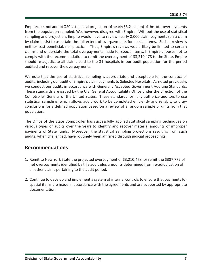<span id="page-7-0"></span>Empire does not accept OSC's statistical projection (of nearly \$3.2 million) of the total overpayments from the population sampled. We, however, disagree with Empire. Without the use of statistical sampling and projection, Empire would have to review nearly 8,000 claim payments (on a claim by claim basis) to ascertain the full extent of overpayments for special items. Such a review is neither cost beneficial, nor practical. Thus, Empire's reviews would likely be limited to certain claims and understate the total overpayments made for special items. If Empire chooses not to comply with the recommendation to remit the overpayment of \$3,210,478 to the State, Empire should re-adjudicate all claims paid to the 31 hospitals in our audit population for the period audited and recover the overpayments.

We note that the use of statistical sampling is appropriate and acceptable for the conduct of audits, including our audit of Empire's claim payments to Selected Hospitals. As noted previously, we conduct our audits in accordance with Generally Accepted Government Auditing Standards. These standards are issued by the U.S. General Accountability Office under the direction of the Comptroller General of the United States. These standards formally authorize auditors to use statistical sampling, which allows audit work to be completed efficiently and reliably, to draw conclusions for a defined population based on a review of a random sample of units from that population.

The Office of the State Comptroller has successfully applied statistical sampling techniques on various types of audits over the years to identify and recover material amounts of improper payments of State funds. Moreover, the statistical sampling projections resulting from such audits, when challenged, have routinely been affirmed through judicial proceedings.

#### **Recommendations**

- 1. Remit to New York State the projected overpayment of \$3,210,478, or remit the \$387,772 of net overpayments identified by this audit plus amounts determined from re-adjudication of all other claims pertaining to the audit period.
- 2. Continue to develop and implement a system of internal controls to ensure that payments for special items are made in accordance with the agreements and are supported by appropriate documentation.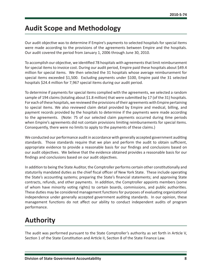## <span id="page-8-0"></span>**Audit Scope and Methodology**

Our audit objective was to determine if Empire's payments to selected hospitals for special items were made according to the provisions of the agreements between Empire and the hospitals. Our audit covered the period from January 1, 2006 through June 30, 2010.

To accomplish our objective, we identified 78 hospitals with agreements that limit reimbursement for special items to invoice cost. During our audit period, Empire paid these hospitals about \$49.4 million for special items. We then selected the 31 hospitals whose average reimbursement for special items exceeded \$1,500. Excluding payments under \$100, Empire paid the 31 selected hospitals \$24.4 million for 7,967 special items during our audit period.

To determine if payments for special items complied with the agreements, we selected a random sample of 194 claims (totaling about \$1.8 million) that were submitted by 17 (of the 31) hospitals. For each of these hospitals, we reviewed the provisions of their agreements with Empire pertaining to special items. We also reviewed claim detail provided by Empire and medical, billing, and payment records provided by the hospitals to determine if the payments were made according to the agreements. (Note: 75 of our selected claim payments occurred during time periods when Empire's agreements did not contain provisions limiting reimbursements for special items. Consequently, there were no limits to apply to the payments of these claims.)

We conducted our performance audit in accordance with generally accepted government auditing standards. Those standards require that we plan and perform the audit to obtain sufficient, appropriate evidence to provide a reasonable basis for our findings and conclusions based on our audit objectives. We believe that the evidence obtained provides a reasonable basis for our findings and conclusions based on our audit objectives.

In addition to being the State Auditor, the Comptroller performs certain other constitutionally and statutorily mandated duties as the chief fiscal officer of New York State. These include operating the State's accounting systems; preparing the State's financial statements; and approving State contracts, refunds, and other payments. In addition, the Comptroller appoints members (some of whom have minority voting rights) to certain boards, commissions, and public authorities. These duties may be considered management functions for purposes of evaluating organizational independence under generally accepted government auditing standards. In our opinion, these management functions do not affect our ability to conduct independent audits of program performance.

# **Authority**

The audit was performed pursuant to the State Comptroller's authority as set forth in Article V, Section 1 of the State Constitution and Article II, Section 8 of the State Finance Law.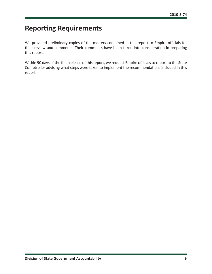# <span id="page-9-0"></span>**Reporting Requirements**

We provided preliminary copies of the matters contained in this report to Empire officials for their review and comments. Their comments have been taken into consideration in preparing this report.

Within 90 days of the final release of this report, we request Empire officials to report to the State Comptroller advising what steps were taken to implement the recommendations included in this report.